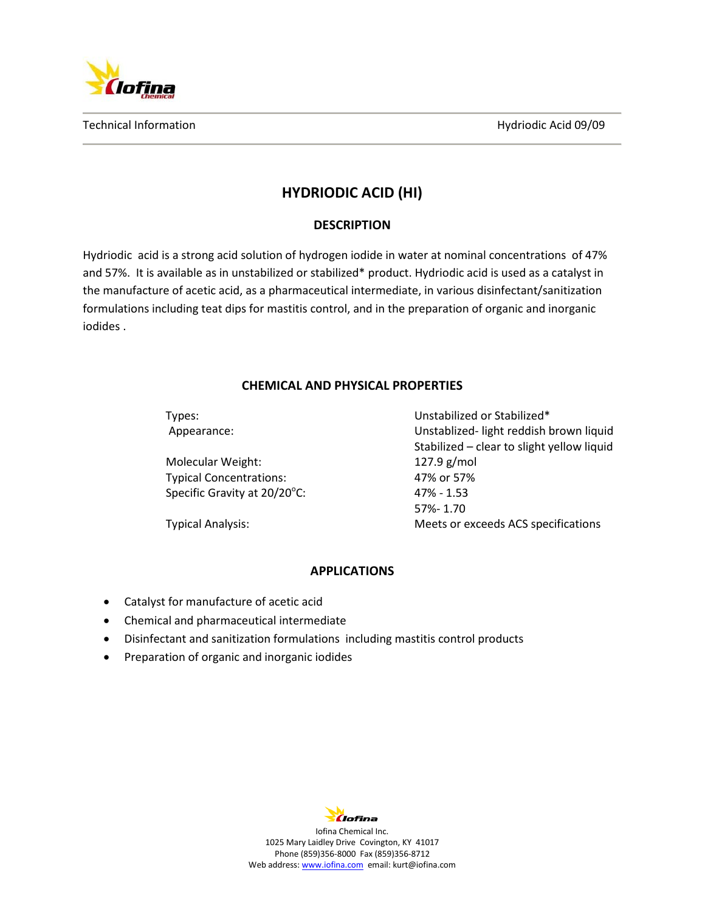

Technical Information **Hydriodic Acid 09/09** Technical Information

# **HYDRIODIC ACID (HI)**

## **DESCRIPTION**

Hydriodic acid is a strong acid solution of hydrogen iodide in water at nominal concentrations of 47% and 57%. It is available as in unstabilized or stabilized\* product. Hydriodic acid is used as a catalyst in the manufacture of acetic acid, as a pharmaceutical intermediate, in various disinfectant/sanitization formulations including teat dips for mastitis control, and in the preparation of organic and inorganic iodides .

### **CHEMICAL AND PHYSICAL PROPERTIES**

| Types:                         | Unstabilized or Stabilized*                |
|--------------------------------|--------------------------------------------|
| Appearance:                    | Unstablized-light reddish brown liquid     |
|                                | Stabilized - clear to slight yellow liquid |
| Molecular Weight:              | $127.9$ g/mol                              |
| <b>Typical Concentrations:</b> | 47% or 57%                                 |
| Specific Gravity at 20/20°C:   | $47\% - 1.53$                              |
|                                | 57%-1.70                                   |
| <b>Typical Analysis:</b>       | Meets or exceeds ACS specifications        |

### **APPLICATIONS**

- Catalyst for manufacture of acetic acid
- Chemical and pharmaceutical intermediate
- Disinfectant and sanitization formulations including mastitis control products
- Preparation of organic and inorganic iodides



Iofina Chemical Inc. 1025 Mary Laidley Drive Covington, KY 41017 Phone (859)356-8000 Fax (859)356-8712 Web address[: www.iofina.com](http://www.iofina.com/) email: kurt@iofina.com